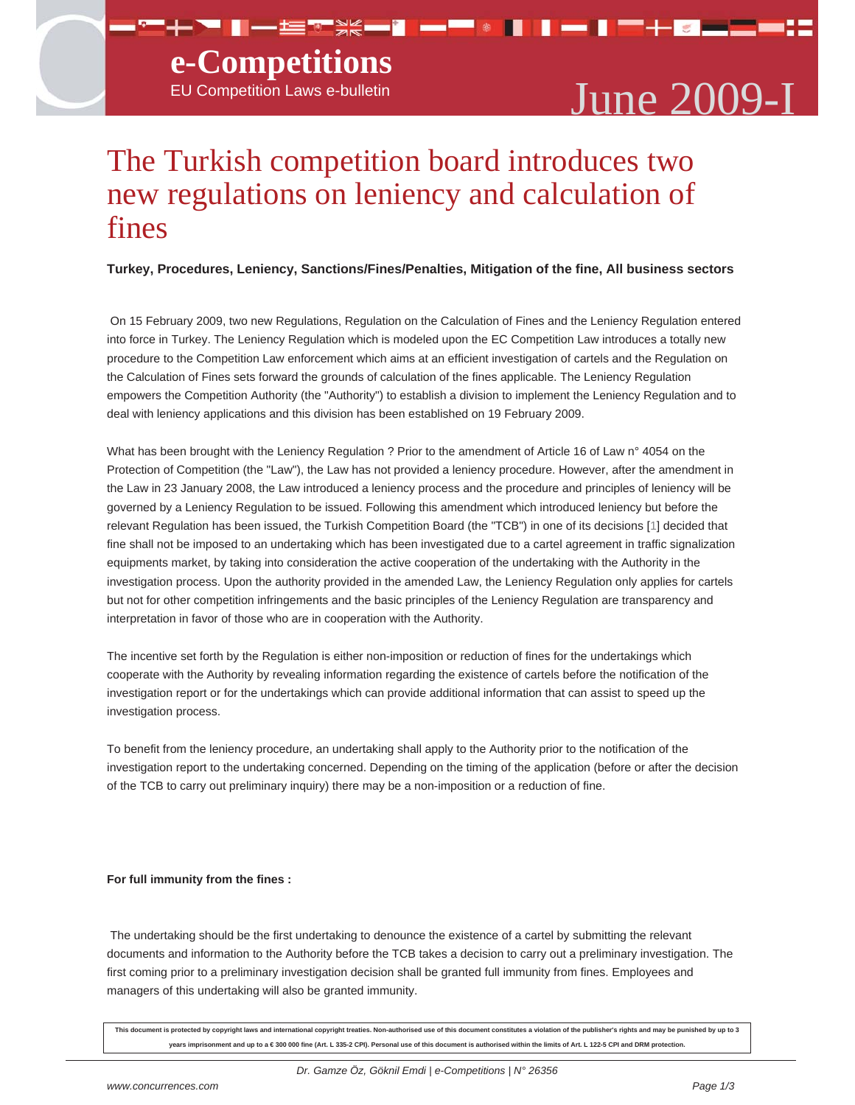## **e-Competitions**

# EU Competition Laws e-bulletin  $\bf June~2009-I$

### The Turkish competition board introduces two new regulations on leniency and calculation of fines

**Turkey, Procedures, Leniency, Sanctions/Fines/Penalties, Mitigation of the fine, All business sectors**

▀▚▞▊▌▃▆▚▓▄▌▄▀░▊▐▗▊▛▚<mark>▗▗▃</mark>▆▓

 On 15 February 2009, two new Regulations, Regulation on the Calculation of Fines and the Leniency Regulation entered into force in Turkey. The Leniency Regulation which is modeled upon the EC Competition Law introduces a totally new procedure to the Competition Law enforcement which aims at an efficient investigation of cartels and the Regulation on the Calculation of Fines sets forward the grounds of calculation of the fines applicable. The Leniency Regulation empowers the Competition Authority (the "Authority") to establish a division to implement the Leniency Regulation and to deal with leniency applications and this division has been established on 19 February 2009.

What has been brought with the Leniency Regulation ? Prior to the amendment of Article 16 of Law n° 4054 on the Protection of Competition (the "Law"), the Law has not provided a leniency procedure. However, after the amendment in the Law in 23 January 2008, the Law introduced a leniency process and the procedure and principles of leniency will be governed by a Leniency Regulation to be issued. Following this amendment which introduced leniency but before the relevant Regulation has been issued, the Turkish Competition Board (the "TCB") in one of its decisions [1] decided that fine shall not be imposed to an undertaking which has been investigated due to a cartel agreement in traffic signalization equipments market, by taking into consideration the active cooperation of the undertaking with the Authority in the investigation process. Upon the authority provided in the amended Law, the Leniency Regulation only applies for cartels but not for other competition infringements and the basic principles of the Leniency Regulation are transparency and interpretation in favor of those who are in cooperation with the Authority.

The incentive set forth by the Regulation is either non-imposition or reduction of fines for the undertakings which cooperate with the Authority by revealing information regarding the existence of cartels before the notification of the investigation report or for the undertakings which can provide additional information that can assist to speed up the investigation process.

To benefit from the leniency procedure, an undertaking shall apply to the Authority prior to the notification of the investigation report to the undertaking concerned. Depending on the timing of the application (before or after the decision of the TCB to carry out preliminary inquiry) there may be a non-imposition or a reduction of fine.

### **For full immunity from the fines :**

 The undertaking should be the first undertaking to denounce the existence of a cartel by submitting the relevant documents and information to the Authority before the TCB takes a decision to carry out a preliminary investigation. The first coming prior to a preliminary investigation decision shall be granted full immunity from fines. Employees and managers of this undertaking will also be granted immunity.

**This document is protected by copyright laws and international copyright treaties. Non-authorised use of this document constitutes a violation of the publisher's rights and may be punished by up to 3 years imprisonment and up to a € 300 000 fine (Art. L 335-2 CPI). Personal use of this document is authorised within the limits of Art. L 122-5 CPI and DRM protection.**

*Dr. Gamze Öz, Göknil Emdi | e-Competitions | N° 26356*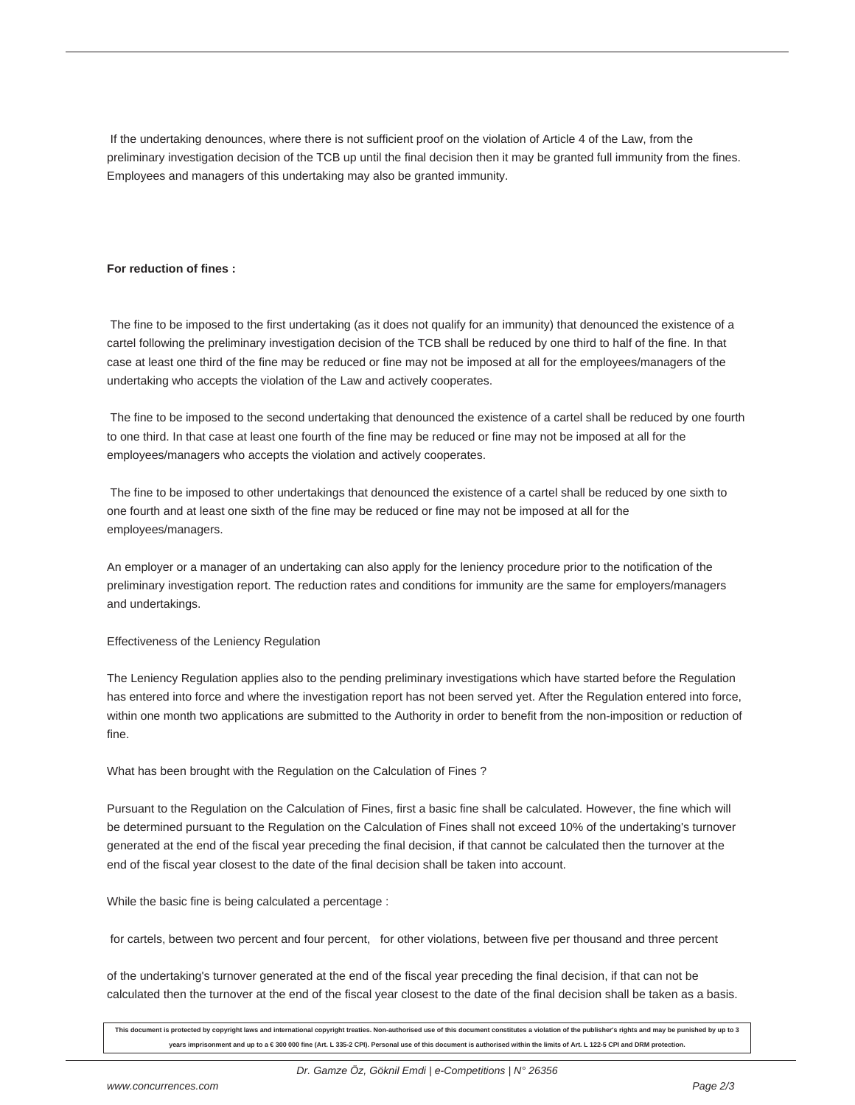If the undertaking denounces, where there is not sufficient proof on the violation of Article 4 of the Law, from the preliminary investigation decision of the TCB up until the final decision then it may be granted full immunity from the fines. Employees and managers of this undertaking may also be granted immunity.

#### **For reduction of fines :**

 The fine to be imposed to the first undertaking (as it does not qualify for an immunity) that denounced the existence of a cartel following the preliminary investigation decision of the TCB shall be reduced by one third to half of the fine. In that case at least one third of the fine may be reduced or fine may not be imposed at all for the employees/managers of the undertaking who accepts the violation of the Law and actively cooperates.

 The fine to be imposed to the second undertaking that denounced the existence of a cartel shall be reduced by one fourth to one third. In that case at least one fourth of the fine may be reduced or fine may not be imposed at all for the employees/managers who accepts the violation and actively cooperates.

 The fine to be imposed to other undertakings that denounced the existence of a cartel shall be reduced by one sixth to one fourth and at least one sixth of the fine may be reduced or fine may not be imposed at all for the employees/managers.

An employer or a manager of an undertaking can also apply for the leniency procedure prior to the notification of the preliminary investigation report. The reduction rates and conditions for immunity are the same for employers/managers and undertakings.

Effectiveness of the Leniency Regulation

The Leniency Regulation applies also to the pending preliminary investigations which have started before the Regulation has entered into force and where the investigation report has not been served yet. After the Regulation entered into force, within one month two applications are submitted to the Authority in order to benefit from the non-imposition or reduction of fine.

What has been brought with the Regulation on the Calculation of Fines ?

Pursuant to the Regulation on the Calculation of Fines, first a basic fine shall be calculated. However, the fine which will be determined pursuant to the Regulation on the Calculation of Fines shall not exceed 10% of the undertaking's turnover generated at the end of the fiscal year preceding the final decision, if that cannot be calculated then the turnover at the end of the fiscal year closest to the date of the final decision shall be taken into account.

While the basic fine is being calculated a percentage :

for cartels, between two percent and four percent, for other violations, between five per thousand and three percent

of the undertaking's turnover generated at the end of the fiscal year preceding the final decision, if that can not be calculated then the turnover at the end of the fiscal year closest to the date of the final decision shall be taken as a basis.

**This document is protected by copyright laws and international copyright treaties. Non-authorised use of this document constitutes a violation of the publisher's rights and may be punished by up to 3 years imprisonment and up to a € 300 000 fine (Art. L 335-2 CPI). Personal use of this document is authorised within the limits of Art. L 122-5 CPI and DRM protection.**

*Dr. Gamze Öz, Göknil Emdi | e-Competitions | N° 26356*